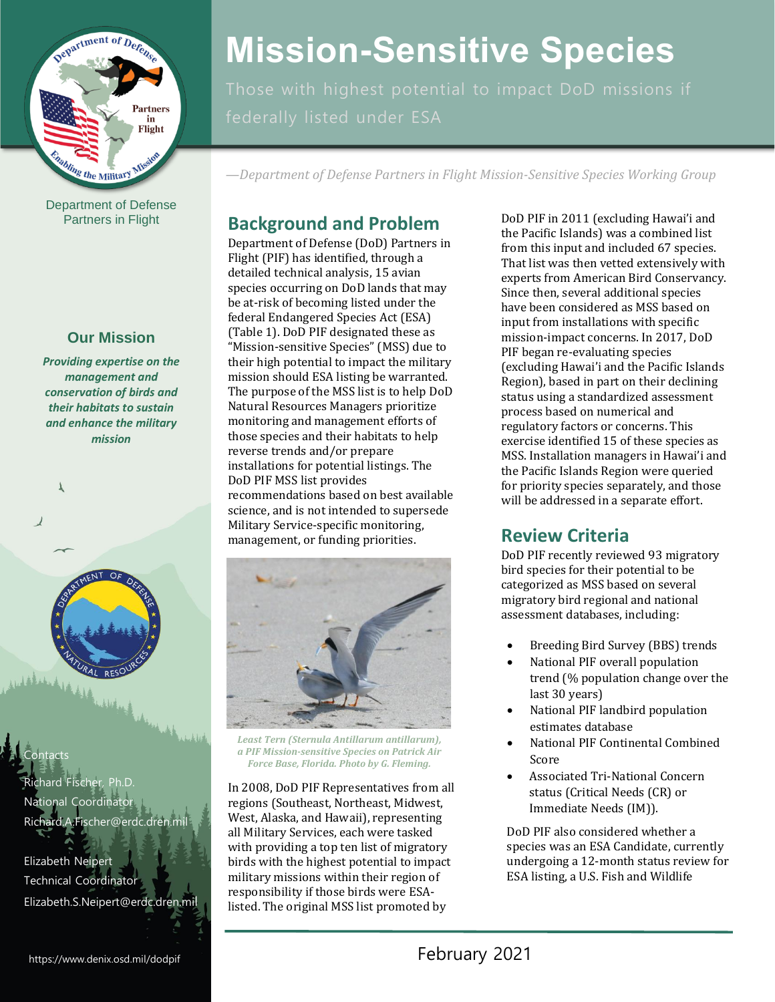

Department of Defense Partners in Flight

# **Our Mission**

 *Providing expertise on the management and conservation of birds and their habitats to sustain and enhance the military mission* 



Richard Fischer, Ph.D. **National Coordinator** [Richard.A.Fischer@erdc.dren.mil](mailto:Richard.A.Fischer@erdc.dren.mil) 

Contacts

 $\mathbf{r}$ 

Elizabeth Neipert Technical Coordinator [Elizabeth.S.Neipert@erdc.dren.mil](mailto:Elizabeth.S.Neipert@erdc.dren.mil)

# **Mission-Sensitive Species**

*—Department of Defense Partners in Flight Mission-Sensitive Species Working Group* 

installations for potential listings. The science, and is not intended to supersede Federal Endangered Species Act (ESA)<br>
(Table 1). DoD PIF designated these as<br>
"Mission-sensitive Species" (MSS) due to<br>
their high potential to impact the military<br>
mission-impact concerns. In 2017, DoD<br>
PIF began re-evalu those species and their habitats to help<br>
reverse trends and/or prepare<br>
installations for potential listings. The<br>
DoD PIF MSS list provides<br>
recommendations based on best available<br>
science, and is not intended to supers Military Service-specific monitoring, management, or funding priorities. **Review Criteria** 



 *Least Tern (Sternula Antillarum antillarum), a PIF Mission-sensitive Species on Patrick Air Force Base, Florida. Photo by G. Fleming.* 

In 2008, DoD PIF Representatives from all status (Critical Needs (CR) or regions (Southeast, Northeast, Midwest, Immediate Needs (IM)).<br>West, Alaska, and Hawaii), representing all Military Services, each were tasked DoD PIF also considered whether a with providing a top ten list of migratory species was an ESA Candidate, currently birds with the highest potential to impact undergoing a 12-month status review for military missions within their region of ESA listing, a U.S. Fish and Wildlife responsibility if those birds were ESAlisted. The original MSS list promoted by

experts from American Bird Conservancy. **Background and Problem**<br>
Department of Defense (DoD) Partners in<br>
Flight (PIF) has identified, through a<br>
detailed technical analysis, 15 avian<br>
species occurring on DoD lands that may<br>
be at-risk of becoming listed under

DoD PIF recently reviewed 93 migratory bird species for their potential to be categorized as MSS based on several migratory bird regional and national assessment databases, including:

- Breeding Bird Survey (BBS) trends
- National PIF overall population trend (% population change over the last 30 years)
- National PIF landbird population estimates database
- National PIF Continental Combined Score
- Associated Tri-National Concern